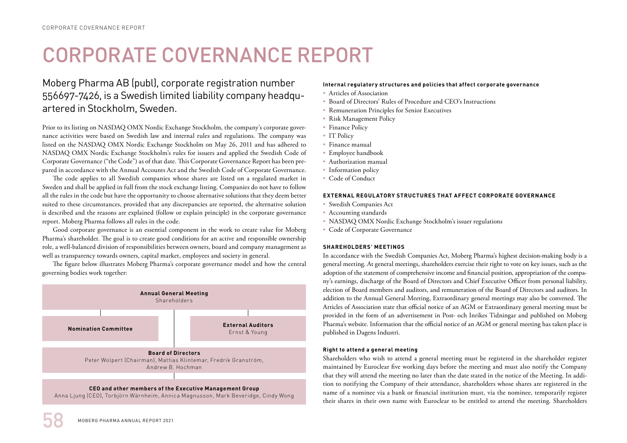# CORPORATE COVERNANCE REPORT

## Moberg Pharma AB (publ), corporate registration number 556697-7426, is a Swedish limited liability company headquartered in Stockholm, Sweden.

Prior to its listing on NASDAQ OMX Nordic Exchange Stockholm, the company's corporate governance activities were based on Swedish law and internal rules and regulations. The company was listed on the NASDAQ OMX Nordic Exchange Stockholm on May 26, 2011 and has adhered to NASDAQ OMX Nordic Exchange Stockholm's rules for issuers and applied the Swedish Code of Corporate Governance ("the Code") as of that date. This Corporate Governance Report has been prepared in accordance with the Annual Accounts Act and the Swedish Code of Corporate Governance.

The code applies to all Swedish companies whose shares are listed on a regulated market in Sweden and shall be applied in full from the stock exchange listing. Companies do not have to follow all the rules in the code but have the opportunity to choose alternative solutions that they deem better suited to these circumstances, provided that any discrepancies are reported, the alternative solution is described and the reasons are explained (follow or explain principle) in the corporate governance report. Moberg Pharma follows all rules in the code.

Good corporate governance is an essential component in the work to create value for Moberg Pharma's shareholder. The goal is to create good conditions for an active and responsible ownership role, a well-balanced division of responsibilities between owners, board and company management as well as transparency towards owners, capital market, employees and society in general.

The figure below illustrates Moberg Pharma's corporate governance model and how the central governing bodies work together:



Anna Ljung (CEO), Torbjörn Wärnheim, Annica Magnusson, Mark Beveridge, Cindy Wong

## **Internal regulatory structures and policies that affect corporate governance**

- Articles of Association
- Board of Directors' Rules of Procedure and CEO's Instructions
- Remuneration Principles for Senior Executives
- Risk Management Policy
- Finance Policy
- IT Policy
- Finance manual
- Employee handbook
- Authorization manual
- Information policy
- Code of Conduct

## **EXTERNAL REGULATORY STRUCTURES THAT AFFECT CORPORATE GOVERNANCE**

- Swedish Companies Act
- Accounting standards
- NASDAQ OMX Nordic Exchange Stockholm's issuer regulations
- Code of Corporate Governance

## **SHAREHOLDERS' MEETINGS**

In accordance with the Swedish Companies Act, Moberg Pharma's highest decision-making body is a general meeting. At general meetings, shareholders exercise their right to vote on key issues, such as the adoption of the statement of comprehensive income and financial position, appropriation of the company's earnings, discharge of the Board of Directors and Chief Executive Officer from personal liability, election of Board members and auditors, and remuneration of the Board of Directors and auditors. In addition to the Annual General Meeting, Extraordinary general meetings may also be convened. The Articles of Association state that official notice of an AGM or Extraordinary general meeting must be provided in the form of an advertisement in Post- och Inrikes Tidningar and published on Moberg Pharma's website. Information that the official notice of an AGM or general meeting has taken place is published in Dagens Industri.

## **Right to attend a general meeting**

Shareholders who wish to attend a general meeting must be registered in the shareholder register maintained by Euroclear five working days before the meeting and must also notify the Company that they will attend the meeting no later than the date stated in the notice of the Meeting. In addition to notifying the Company of their attendance, shareholders whose shares are registered in the name of a nominee via a bank or financial institution must, via the nominee, temporarily register their shares in their own name with Euroclear to be entitled to attend the meeting. Shareholders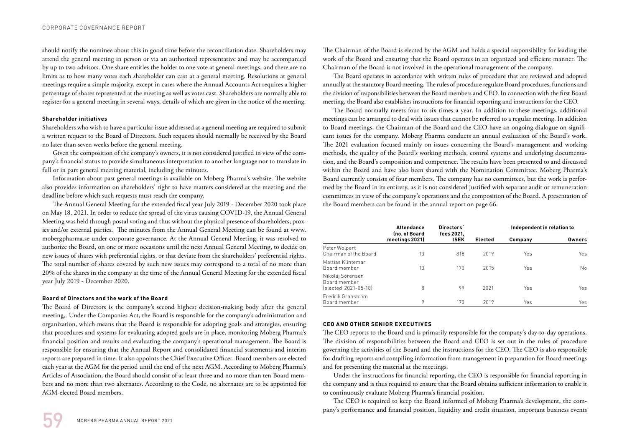should notify the nominee about this in good time before the reconciliation date. Shareholders may attend the general meeting in person or via an authorized representative and may be accompanied by up to two advisors. One share entitles the holder to one vote at general meetings, and there are no limits as to how many votes each shareholder can cast at a general meeting. Resolutions at general meetings require a simple majority, except in cases where the Annual Accounts Act requires a higher percentage of shares represented at the meeting as well as votes cast. Shareholders are normally able to register for a general meeting in several ways, details of which are given in the notice of the meeting.

## **Shareholder initiatives**

Shareholders who wish to have a particular issue addressed at a general meeting are required to submit a written request to the Board of Directors. Such requests should normally be received by the Board no later than seven weeks before the general meeting.

Given the composition of the company's owners, it is not considered justified in view of the company's financial status to provide simultaneous interpretation to another language nor to translate in full or in part general meeting material, including the minutes.

Information about past general meetings is available on Moberg Pharma's website. The website also provides information on shareholders' right to have matters considered at the meeting and the deadline before which such requests must reach the company.

The Annual General Meeting for the extended fiscal year July 2019 - December 2020 took place on May 18, 2021. In order to reduce the spread of the virus causing COVID-19, the Annual General Meeting was held through postal voting and thus without the physical presence of shareholders, proxies and/or external parties. The minutes from the Annual General Meeting can be found at www. mobergpharma.se under corporate governance. At the Annual General Meeting, it was resolved to authorize the Board, on one or more occasions until the next Annual General Meeting, to decide on new issues of shares with preferential rights, or that deviate from the shareholders' preferential rights. The total number of shares covered by such new issues may correspond to a total of no more than 20% of the shares in the company at the time of the Annual General Meeting for the extended fiscal year July 2019 - December 2020.

## **Board of Directors and the work of the Board**

The Board of Directors is the company's second highest decision-making body after the general meeting,. Under the Companies Act, the Board is responsible for the company's administration and organization, which means that the Board is responsible for adopting goals and strategies, ensuring that procedures and systems for evaluating adopted goals are in place, monitoring Moberg Pharma's financial position and results and evaluating the company's operational management. The Board is responsible for ensuring that the Annual Report and consolidated financial statements and interim reports are prepared in time. It also appoints the Chief Executive Officer. Board members are elected each year at the AGM for the period until the end of the next AGM. According to Moberg Pharma's Articles of Association, the Board should consist of at least three and no more than ten Board members and no more than two alternates. According to the Code, no alternates are to be appointed for AGM-elected Board members.

The Board operates in accordance with written rules of procedure that are reviewed and adopted annually at the statutory Board meeting. The rules of procedure regulate Board procedures, functions and the division of responsibilities between the Board members and CEO. In connection with the first Board meeting, the Board also establishes instructions for financial reporting and instructions for the CEO.

The Board normally meets four to six times a year. In addition to these meetings, additional meetings can be arranged to deal with issues that cannot be referred to a regular meeting. In addition to Board meetings, the Chairman of the Board and the CEO have an ongoing dialogue on significant issues for the company. Moberg Pharma conducts an annual evaluation of the Board's work. The 2021 evaluation focused mainly on issues concerning the Board's management and working methods, the quality of the Board's working methods, control systems and underlying documentation, and the Board's composition and competence. The results have been presented to and discussed within the Board and have also been shared with the Nomination Committee. Moberg Pharma's Board currently consists of four members. The company has no committees, but the work is performed by the Board in its entirety, as it is not considered justified with separate audit or remuneration committees in view of the company's operations and the composition of the Board. A presentation of the Board members can be found in the annual report on page 66.

|                                                          | Attendance                      | Directors'         |                | Independent in relation to |        |
|----------------------------------------------------------|---------------------------------|--------------------|----------------|----------------------------|--------|
|                                                          | (no. of Board<br>meetings 2021) | fees 2021.<br>tSEK | <b>Elected</b> | Company                    | Owners |
| Peter Wolpert<br>Chairman of the Board                   | 13                              | 818                | 2019           | Yes                        | Yes    |
| Mattias Klintemar<br>Board member                        | 13                              | 170                | 2015           | Yes                        | No.    |
| Nikolaj Sörensen<br>Board member<br>(elected 2021-05-18) | 8                               | 99                 | 2021           | Yes                        | Yes    |
| Fredrik Granström<br>Board member                        | 9                               | 170                | 2019           | Yes                        | Yes    |

## **CEO AND OTHER SENIOR EXECUTIVES**

The CEO reports to the Board and is primarily responsible for the company's day-to-day operations. The division of responsibilities between the Board and CEO is set out in the rules of procedure governing the activities of the Board and the instructions for the CEO. The CEO is also responsible for drafting reports and compiling information from management in preparation for Board meetings and for presenting the material at the meetings.

Under the instructions for financial reporting, the CEO is responsible for financial reporting in the company and is thus required to ensure that the Board obtains sufficient information to enable it to continuously evaluate Moberg Pharma's financial position.

The CEO is required to keep the Board informed of Moberg Pharma's development, the company's performance and financial position, liquidity and credit situation, important business events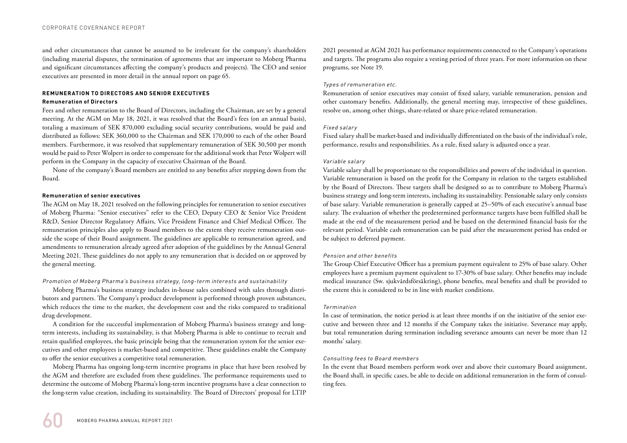and other circumstances that cannot be assumed to be irrelevant for the company's shareholders (including material disputes, the termination of agreements that are important to Moberg Pharma and significant circumstances affecting the company's products and projects). The CEO and senior executives are presented in more detail in the annual report on page 65.

## **REMUNERATION TO DIRECTORS AND SENIOR EXECUTIVES**

## **Remuneration of Directors**

Fees and other remuneration to the Board of Directors, including the Chairman, are set by a general meeting. At the AGM on May 18, 2021, it was resolved that the Board's fees (on an annual basis), totaling a maximum of SEK 870,000 excluding social security contributions, would be paid and distributed as follows: SEK 360,000 to the Chairman and SEK 170,000 to each of the other Board members. Furthermore, it was resolved that supplementary remuneration of SEK 30,500 per month would be paid to Peter Wolpert in order to compensate for the additional work that Peter Wolpert will perform in the Company in the capacity of executive Chairman of the Board.

None of the company's Board members are entitled to any benefits after stepping down from the Board.

## **Remuneration of senior executives**

The AGM on May 18, 2021 resolved on the following principles for remuneration to senior executives of Moberg Pharma: "Senior executives" refer to the CEO, Deputy CEO & Senior Vice President R&D, Senior Director Regulatory Affairs, Vice President Finance and Chief Medical Officer. The remuneration principles also apply to Board members to the extent they receive remuneration outside the scope of their Board assignment. The guidelines are applicable to remuneration agreed, and amendments to remuneration already agreed after adoption of the guidelines by the Annual General Meeting 2021. These guidelines do not apply to any remuneration that is decided on or approved by the general meeting.

## Promotion of Moberg Pharma's business strategy, long-term interests and sustainability

Moberg Pharma's business strategy includes in-house sales combined with sales through distributors and partners. The Company's product development is performed through proven substances, which reduces the time to the market, the development cost and the risks compared to traditional drug development.

A condition for the successful implementation of Moberg Pharma's business strategy and longterm interests, including its sustainability, is that Moberg Pharma is able to continue to recruit and retain qualified employees, the basic principle being that the remuneration system for the senior executives and other employees is market-based and competitive. These guidelines enable the Company to offer the senior executives a competitive total remuneration.

Moberg Pharma has ongoing long-term incentive programs in place that have been resolved by the AGM and therefore are excluded from these guidelines. The performance requirements used to determine the outcome of Moberg Pharma's long-term incentive programs have a clear connection to the long-term value creation, including its sustainability. The Board of Directors' proposal for LTIP 2021 presented at AGM 2021 has performance requirements connected to the Company's operations and targets. The programs also require a vesting period of three years. For more information on these programs, see Note 19.

## Types of remuneration etc.

Remuneration of senior executives may consist of fixed salary, variable remuneration, pension and other customary benefits. Additionally, the general meeting may, irrespective of these guidelines, resolve on, among other things, share-related or share price-related remuneration.

## Fixed salary

Fixed salary shall be market-based and individually differentiated on the basis of the individual's role, performance, results and responsibilities. As a rule, fixed salary is adjusted once a year.

## Variable salary

Variable salary shall be proportionate to the responsibilities and powers of the individual in question. Variable remuneration is based on the profit for the Company in relation to the targets established by the Board of Directors. These targets shall be designed so as to contribute to Moberg Pharma's business strategy and long-term interests, including its sustainability. Pensionable salary only consists of base salary. Variable remuneration is generally capped at 25–50% of each executive's annual base salary. The evaluation of whether the predetermined performance targets have been fulfilled shall be made at the end of the measurement period and be based on the determined financial basis for the relevant period. Variable cash remuneration can be paid after the measurement period has ended or be subject to deferred payment.

## Pension and other benefits

The Group Chief Executive Officer has a premium payment equivalent to 25% of base salary. Other employees have a premium payment equivalent to 17-30% of base salary. Other benefits may include medical insurance (Sw. sjukvårdsförsäkring), phone benefits, meal benefits and shall be provided to the extent this is considered to be in line with market conditions.

## Termination

In case of termination, the notice period is at least three months if on the initiative of the senior executive and between three and 12 months if the Company takes the initiative. Severance may apply, but total remuneration during termination including severance amounts can never be more than 12 months' salary.

## Consulting fees to Board members

In the event that Board members perform work over and above their customary Board assignment, the Board shall, in specific cases, be able to decide on additional remuneration in the form of consulting fees.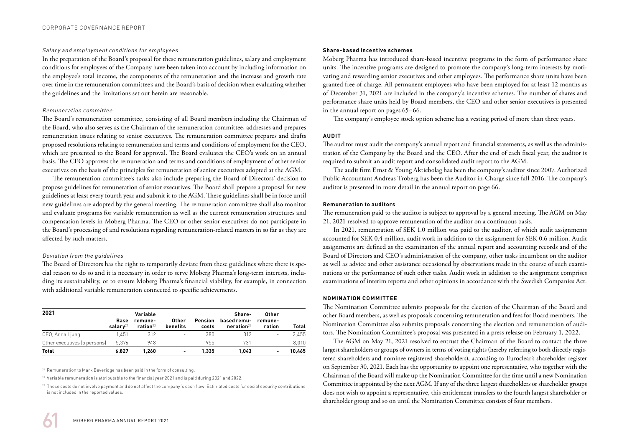#### Salary and employment conditions for employees

In the preparation of the Board's proposal for these remuneration guidelines, salary and employment conditions for employees of the Company have been taken into account by including information on the employee's total income, the components of the remuneration and the increase and growth rate over time in the remuneration committee's and the Board's basis of decision when evaluating whether the guidelines and the limitations set out herein are reasonable.

## Remuneration committee

The Board's remuneration committee, consisting of all Board members including the Chairman of the Board, who also serves as the Chairman of the remuneration committee, addresses and prepares remuneration issues relating to senior executives. The remuneration committee prepares and drafts proposed resolutions relating to remuneration and terms and conditions of employment for the CEO, which are presented to the Board for approval. The Board evaluates the CEO's work on an annual basis. The CEO approves the remuneration and terms and conditions of employment of other senior executives on the basis of the principles for remuneration of senior executives adopted at the AGM.

The remuneration committee's tasks also include preparing the Board of Directors' decision to propose guidelines for remuneration of senior executives. The Board shall prepare a proposal for new guidelines at least every fourth year and submit it to the AGM. These guidelines shall be in force until new guidelines are adopted by the general meeting. The remuneration committee shall also monitor and evaluate programs for variable remuneration as well as the current remuneration structures and compensation levels in Moberg Pharma. The CEO or other senior executives do not participate in the Board's processing of and resolutions regarding remuneration-related matters in so far as they are affected by such matters.

## Deviation from the guidelines

The Board of Directors has the right to temporarily deviate from these guidelines where there is special reason to do so and it is necessary in order to serve Moberg Pharma's long-term interests, including its sustainability, or to ensure Moberg Pharma's financial viability, for example, in connection with additional variable remuneration connected to specific achievements.

| 2021                         | Base<br>salarv <sup>21</sup> | Variable<br>remune-<br>ration $22$ | Other<br>benefits        | Pension<br>costs | Share-<br>based remu-<br>neration <sup>23</sup> | Other<br>remune-<br>ration | Total  |
|------------------------------|------------------------------|------------------------------------|--------------------------|------------------|-------------------------------------------------|----------------------------|--------|
| CEO, Anna Ljung              | 1.451                        | 312                                | $\overline{\phantom{a}}$ | 380              | 312                                             | ٠                          | 2.455  |
| Other executives (5 persons) | 5.376                        | 948                                | $\overline{\phantom{a}}$ | 955              | 731                                             | ۰                          | 8.010  |
| <b>Total</b>                 | 6.827                        | 1.260                              |                          | 1.335            | 1.043                                           | -                          | 10.465 |

<sup>21</sup> Remuneration to Mark Beveridge has been paid in the form of consulting.

<sup>22</sup> Variable remuneration is attributable to the financial year 2021 and is paid during 2021 and 2022.

<sup>23</sup> These costs do not involve payment and do not affect the company's cash flow. Estimated costs for social security contributions is not included in the reported values.

## **Share-based incentive schemes**

Moberg Pharma has introduced share-based incentive programs in the form of performance share units. The incentive programs are designed to promote the company's long-term interests by motivating and rewarding senior executives and other employees. The performance share units have been granted free of charge. All permanent employees who have been employed for at least 12 months as of December 31, 2021 are included in the company's incentive schemes. The number of shares and performance share units held by Board members, the CEO and other senior executives is presented in the annual report on pages 65–66.

The company's employee stock option scheme has a vesting period of more than three years.

## **AUDIT**

The auditor must audit the company's annual report and financial statements, as well as the administration of the Company by the Board and the CEO. After the end of each fiscal year, the auditor is required to submit an audit report and consolidated audit report to the AGM.

The audit firm Ernst & Young Aktiebolag has been the company's auditor since 2007. Authorized Public Accountant Andreas Troberg has been the Auditor-in-Charge since fall 2016. The company's auditor is presented in more detail in the annual report on page 66.

## **Remuneration to auditors**

The remuneration paid to the auditor is subject to approval by a general meeting. The AGM on May 21, 2021 resolved to approve remuneration of the auditor on a continuous basis.

In 2021, remuneration of SEK 1.0 million was paid to the auditor, of which audit assignments accounted for SEK 0.4 million, audit work in addition to the assignment for SEK 0.6 million. Audit assignments are defined as the examination of the annual report and accounting records and of the Board of Directors and CEO's administration of the company, other tasks incumbent on the auditor as well as advice and other assistance occasioned by observations made in the course of such examinations or the performance of such other tasks. Audit work in addition to the assignment comprises examinations of interim reports and other opinions in accordance with the Swedish Companies Act.

## **NOMINATION COMMITTEE**

The Nomination Committee submits proposals for the election of the Chairman of the Board and other Board members, as well as proposals concerning remuneration and fees for Board members. The Nomination Committee also submits proposals concerning the election and remuneration of auditors. The Nomination Committee's proposal was presented in a press release on February 1, 2022.

The AGM on May 21, 2021 resolved to entrust the Chairman of the Board to contact the three largest shareholders or groups of owners in terms of voting rights (hereby referring to both directly registered shareholders and nominee registered shareholders), according to Euroclear's shareholder register on September 30, 2021. Each has the opportunity to appoint one representative, who together with the Chairman of the Board will make up the Nomination Committee for the time until a new Nomination Committee is appointed by the next AGM. If any of the three largest shareholders or shareholder groups does not wish to appoint a representative, this entitlement transfers to the fourth largest shareholder or shareholder group and so on until the Nomination Committee consists of four members.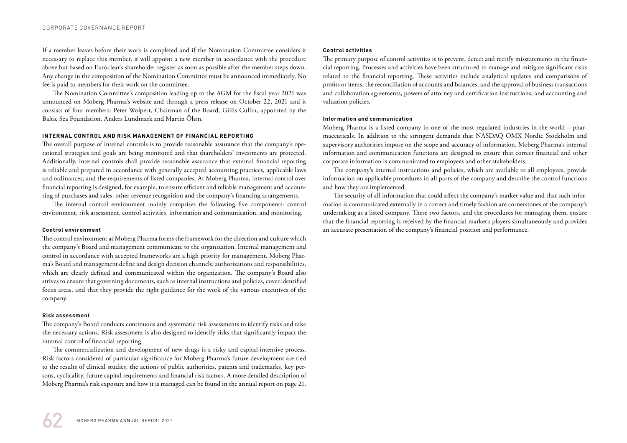If a member leaves before their work is completed and if the Nomination Committee considers it necessary to replace this member, it will appoint a new member in accordance with the procedure above but based on Euroclear's shareholder register as soon as possible after the member steps down. Any change in the composition of the Nomination Committee must be announced immediately. No fee is paid to members for their work on the committee.

The Nomination Committee's composition leading up to the AGM for the fiscal year 2021 was announced on Moberg Pharma's website and through a press release on October 22, 2021 and it consists of four members: Peter Wolpert, Chairman of the Board, Gillis Cullin, appointed by the Baltic Sea Foundation, Anders Lundmark and Martin Öhrn.

#### **INTERNAL CONTROL AND RISK MANAGEMENT OF FINANCIAL REPORTING**

The overall purpose of internal controls is to provide reasonable assurance that the company's operational strategies and goals are being monitored and that shareholders' investments are protected. Additionally, internal controls shall provide reasonable assurance that external financial reporting is reliable and prepared in accordance with generally accepted accounting practices, applicable laws and ordinances, and the requirements of listed companies. At Moberg Pharma, internal control over financial reporting is designed, for example, to ensure efficient and reliable management and accounting of purchases and sales, other revenue recognition and the company's financing arrangements.

The internal control environment mainly comprises the following five components: control environment, risk assessment, control activities, information and communication, and monitoring.

#### **Control environment**

The control environment at Moberg Pharma forms the framework for the direction and culture which the company's Board and management communicate to the organization. Internal management and control in accordance with accepted frameworks are a high priority for management. Moberg Pharma's Board and management define and design decision channels, authorizations and responsibilities, which are clearly defined and communicated within the organization. The company's Board also strives to ensure that governing documents, such as internal instructions and policies, cover identified focus areas, and that they provide the right guidance for the work of the various executives of the company.

#### **Risk assessment**

The company's Board conducts continuous and systematic risk assessments to identify risks and take the necessary actions. Risk assessment is also designed to identify risks that significantly impact the internal control of financial reporting.

The commercialization and development of new drugs is a risky and capital-intensive process. Risk factors considered of particular significance for Moberg Pharma's future development are tied to the results of clinical studies, the actions of public authorities, patents and trademarks, key persons, cyclicality, future capital requirements and financial risk factors. A more detailed description of Moberg Pharma's risk exposure and how it is managed can be found in the annual report on page 21.

#### **Control activities**

The primary purpose of control activities is to prevent, detect and rectify misstatements in the financial reporting. Processes and activities have been structured to manage and mitigate significant risks related to the financial reporting. These activities include analytical updates and comparisons of profits or items, the reconciliation of accounts and balances, and the approval of business transactions and collaboration agreements, powers of attorney and certification instructions, and accounting and valuation policies.

#### **Information and communication**

Moberg Pharma is a listed company in one of the most regulated industries in the world – pharmaceuticals. In addition to the stringent demands that NASDAQ OMX Nordic Stockholm and supervisory authorities impose on the scope and accuracy of information, Moberg Pharma's internal information and communication functions are designed to ensure that correct financial and other corporate information is communicated to employees and other stakeholders.

The company's internal instructions and policies, which are available to all employees, provide information on applicable procedures in all parts of the company and describe the control functions and how they are implemented.

The security of all information that could affect the company's market value and that such information is communicated externally in a correct and timely fashion are cornerstones of the company's undertaking as a listed company. These two factors, and the procedures for managing them, ensure that the financial reporting is received by the financial market's players simultaneously and provides an accurate presentation of the company's financial position and performance.